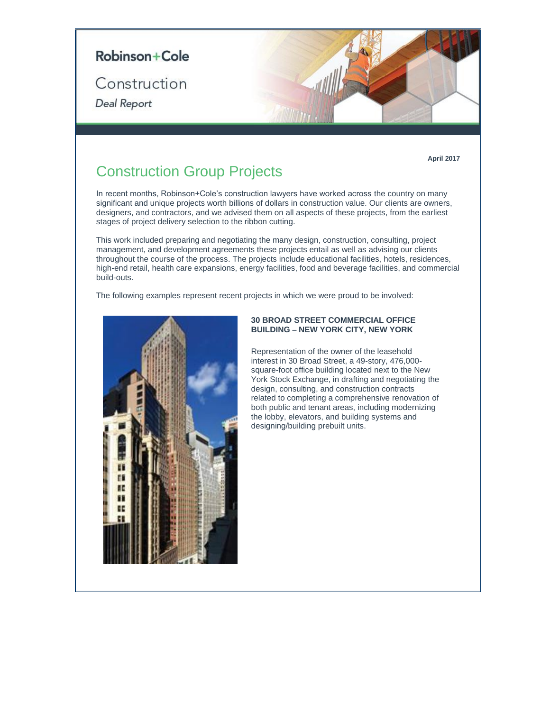

**April 2017**

# Construction Group Projects

In recent months, Robinson+Cole's construction lawyers have worked across the country on many significant and unique projects worth billions of dollars in construction value. Our clients are owners, designers, and contractors, and we advised them on all aspects of these projects, from the earliest stages of project delivery selection to the ribbon cutting.

This work included preparing and negotiating the many design, construction, consulting, project management, and development agreements these projects entail as well as advising our clients throughout the course of the process. The projects include educational facilities, hotels, residences, high-end retail, health care expansions, energy facilities, food and beverage facilities, and commercial build-outs.

The following examples represent recent projects in which we were proud to be involved:



# **30 BROAD STREET COMMERCIAL OFFICE BUILDING – NEW YORK CITY, NEW YORK**

Representation of the owner of the leasehold interest in 30 Broad Street, a 49-story, 476,000 square-foot office building located next to the New York Stock Exchange, in drafting and negotiating the design, consulting, and construction contracts related to completing a comprehensive renovation of both public and tenant areas, including modernizing the lobby, elevators, and building systems and designing/building prebuilt units.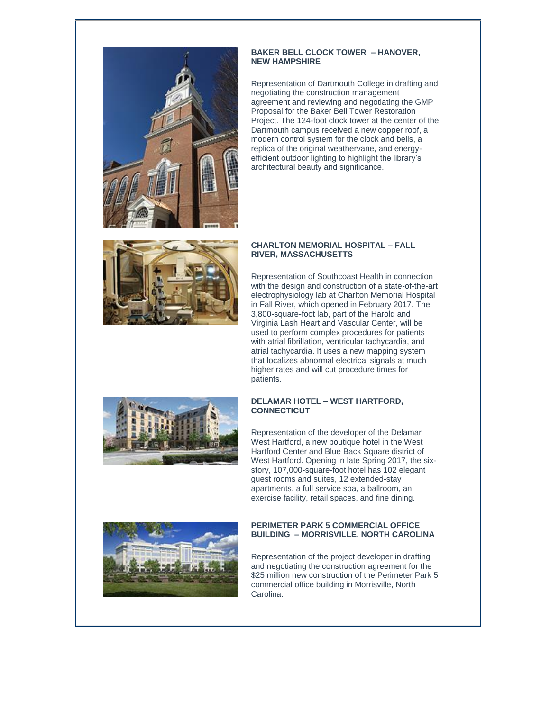

### **BAKER BELL CLOCK TOWER – HANOVER, NEW HAMPSHIRE**

Representation of Dartmouth College in drafting and negotiating the construction management agreement and reviewing and negotiating the GMP Proposal for the Baker Bell Tower Restoration Project. The 124-foot clock tower at the center of the Dartmouth campus received a new copper roof, a modern control system for the clock and bells, a replica of the original weathervane, and energyefficient outdoor lighting to highlight the library's architectural beauty and significance.



### **CHARLTON MEMORIAL HOSPITAL – FALL RIVER, MASSACHUSETTS**

Representation of Southcoast Health in connection with the design and construction of a state-of-the-art electrophysiology lab at Charlton Memorial Hospital in Fall River, which opened in February 2017. The 3,800-square-foot lab, part of the Harold and Virginia Lash Heart and Vascular Center, will be used to perform complex procedures for patients with atrial fibrillation, ventricular tachycardia, and atrial tachycardia. It uses a new mapping system that localizes abnormal electrical signals at much higher rates and will cut procedure times for patients.



# **DELAMAR HOTEL – WEST HARTFORD, CONNECTICUT**

Representation of the developer of the Delamar West Hartford, a new boutique hotel in the West Hartford Center and Blue Back Square district of West Hartford. Opening in late Spring 2017, the sixstory, 107,000-square-foot hotel has 102 elegant guest rooms and suites, 12 extended-stay apartments, a full service spa, a ballroom, an exercise facility, retail spaces, and fine dining.



#### **PERIMETER PARK 5 COMMERCIAL OFFICE BUILDING – MORRISVILLE, NORTH CAROLINA**

Representation of the project developer in drafting and negotiating the construction agreement for the \$25 million new construction of the Perimeter Park 5 commercial office building in Morrisville, North Carolina.